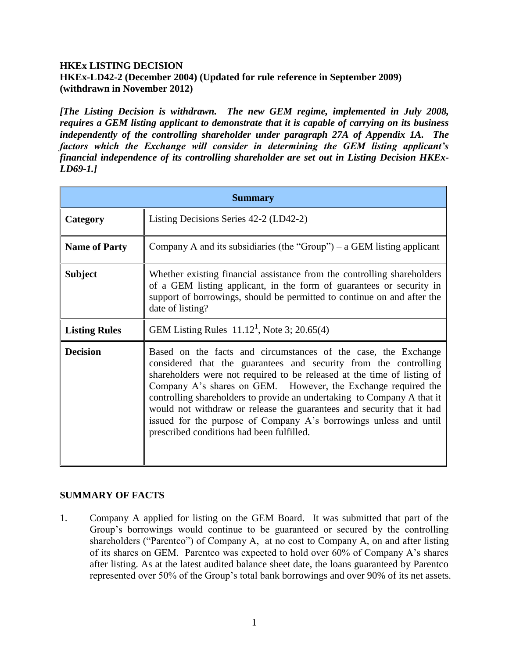### **HKEx LISTING DECISION HKEx-LD42-2 (December 2004) (Updated for rule reference in September 2009) (withdrawn in November 2012)**

*[The Listing Decision is withdrawn. The new GEM regime, implemented in July 2008, requires a GEM listing applicant to demonstrate that it is capable of carrying on its business independently of the controlling shareholder under paragraph 27A of Appendix 1A. The factors which the Exchange will consider in determining the GEM listing applicant's financial independence of its controlling shareholder are set out in Listing Decision HKEx-LD69-1.]*

| <b>Summary</b>       |                                                                                                                                                                                                                                                                                                                                                                                                                                                                                                                                                      |
|----------------------|------------------------------------------------------------------------------------------------------------------------------------------------------------------------------------------------------------------------------------------------------------------------------------------------------------------------------------------------------------------------------------------------------------------------------------------------------------------------------------------------------------------------------------------------------|
| <b>Category</b>      | Listing Decisions Series 42-2 (LD42-2)                                                                                                                                                                                                                                                                                                                                                                                                                                                                                                               |
| <b>Name of Party</b> | Company A and its subsidiaries (the "Group") – a GEM listing applicant                                                                                                                                                                                                                                                                                                                                                                                                                                                                               |
| <b>Subject</b>       | Whether existing financial assistance from the controlling shareholders<br>of a GEM listing applicant, in the form of guarantees or security in<br>support of borrowings, should be permitted to continue on and after the<br>date of listing?                                                                                                                                                                                                                                                                                                       |
| <b>Listing Rules</b> | GEM Listing Rules $11.12^1$ , Note 3; 20.65(4)                                                                                                                                                                                                                                                                                                                                                                                                                                                                                                       |
| <b>Decision</b>      | Based on the facts and circumstances of the case, the Exchange<br>considered that the guarantees and security from the controlling<br>shareholders were not required to be released at the time of listing of<br>Company A's shares on GEM. However, the Exchange required the<br>controlling shareholders to provide an undertaking to Company A that it<br>would not withdraw or release the guarantees and security that it had<br>issued for the purpose of Company A's borrowings unless and until<br>prescribed conditions had been fulfilled. |

## **SUMMARY OF FACTS**

1. Company A applied for listing on the GEM Board. It was submitted that part of the Group's borrowings would continue to be guaranteed or secured by the controlling shareholders ("Parentco") of Company A, at no cost to Company A, on and after listing of its shares on GEM. Parentco was expected to hold over 60% of Company A's shares after listing. As at the latest audited balance sheet date, the loans guaranteed by Parentco represented over 50% of the Group's total bank borrowings and over 90% of its net assets.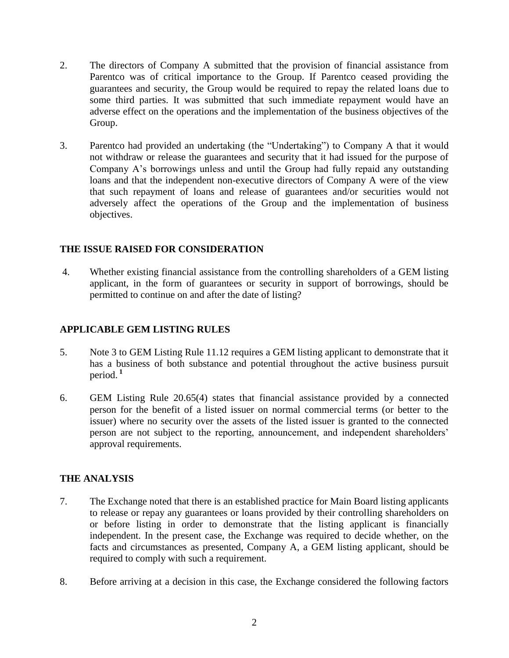- 2. The directors of Company A submitted that the provision of financial assistance from Parentco was of critical importance to the Group. If Parentco ceased providing the guarantees and security, the Group would be required to repay the related loans due to some third parties. It was submitted that such immediate repayment would have an adverse effect on the operations and the implementation of the business objectives of the Group.
- 3. Parentco had provided an undertaking (the "Undertaking") to Company A that it would not withdraw or release the guarantees and security that it had issued for the purpose of Company A's borrowings unless and until the Group had fully repaid any outstanding loans and that the independent non-executive directors of Company A were of the view that such repayment of loans and release of guarantees and/or securities would not adversely affect the operations of the Group and the implementation of business objectives.

## **THE ISSUE RAISED FOR CONSIDERATION**

4. Whether existing financial assistance from the controlling shareholders of a GEM listing applicant, in the form of guarantees or security in support of borrowings, should be permitted to continue on and after the date of listing?

# **APPLICABLE GEM LISTING RULES**

- 5. Note 3 to GEM Listing Rule 11.12 requires a GEM listing applicant to demonstrate that it has a business of both substance and potential throughout the active business pursuit period. **<sup>1</sup>**
- 6. GEM Listing Rule 20.65(4) states that financial assistance provided by a connected person for the benefit of a listed issuer on normal commercial terms (or better to the issuer) where no security over the assets of the listed issuer is granted to the connected person are not subject to the reporting, announcement, and independent shareholders' approval requirements.

## **THE ANALYSIS**

- 7. The Exchange noted that there is an established practice for Main Board listing applicants to release or repay any guarantees or loans provided by their controlling shareholders on or before listing in order to demonstrate that the listing applicant is financially independent. In the present case, the Exchange was required to decide whether, on the facts and circumstances as presented, Company A, a GEM listing applicant, should be required to comply with such a requirement.
- 8. Before arriving at a decision in this case, the Exchange considered the following factors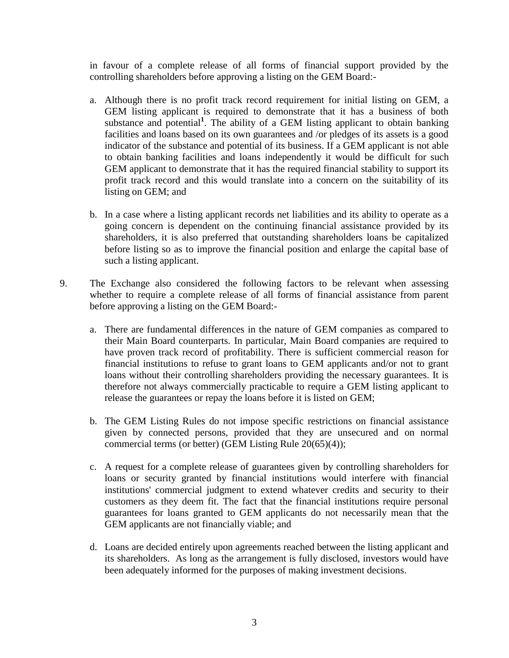in favour of a complete release of all forms of financial support provided by the controlling shareholders before approving a listing on the GEM Board:-

- a. Although there is no profit track record requirement for initial listing on GEM, a GEM listing applicant is required to demonstrate that it has a business of both substance and potential<sup>1</sup>. The ability of a GEM listing applicant to obtain banking facilities and loans based on its own guarantees and /or pledges of its assets is a good indicator of the substance and potential of its business. If a GEM applicant is not able to obtain banking facilities and loans independently it would be difficult for such GEM applicant to demonstrate that it has the required financial stability to support its profit track record and this would translate into a concern on the suitability of its listing on GEM; and
- b. In a case where a listing applicant records net liabilities and its ability to operate as a going concern is dependent on the continuing financial assistance provided by its shareholders, it is also preferred that outstanding shareholders loans be capitalized before listing so as to improve the financial position and enlarge the capital base of such a listing applicant.
- 9. The Exchange also considered the following factors to be relevant when assessing whether to require a complete release of all forms of financial assistance from parent before approving a listing on the GEM Board:
	- a. There are fundamental differences in the nature of GEM companies as compared to their Main Board counterparts. In particular, Main Board companies are required to have proven track record of profitability. There is sufficient commercial reason for financial institutions to refuse to grant loans to GEM applicants and/or not to grant loans without their controlling shareholders providing the necessary guarantees. It is therefore not always commercially practicable to require a GEM listing applicant to release the guarantees or repay the loans before it is listed on GEM;
	- b. The GEM Listing Rules do not impose specific restrictions on financial assistance given by connected persons, provided that they are unsecured and on normal commercial terms (or better) (GEM Listing Rule 20(65)(4));
	- c. A request for a complete release of guarantees given by controlling shareholders for loans or security granted by financial institutions would interfere with financial institutions' commercial judgment to extend whatever credits and security to their customers as they deem fit. The fact that the financial institutions require personal guarantees for loans granted to GEM applicants do not necessarily mean that the GEM applicants are not financially viable; and
	- d. Loans are decided entirely upon agreements reached between the listing applicant and its shareholders. As long as the arrangement is fully disclosed, investors would have been adequately informed for the purposes of making investment decisions.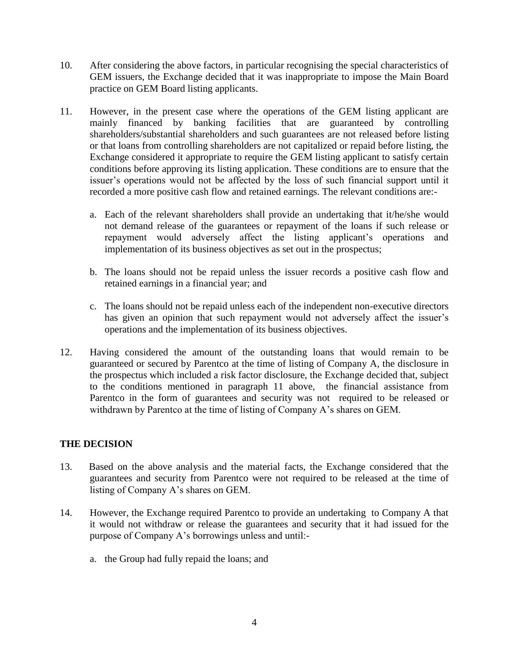- 10. After considering the above factors, in particular recognising the special characteristics of GEM issuers, the Exchange decided that it was inappropriate to impose the Main Board practice on GEM Board listing applicants.
- 11. However, in the present case where the operations of the GEM listing applicant are mainly financed by banking facilities that are guaranteed by controlling shareholders/substantial shareholders and such guarantees are not released before listing or that loans from controlling shareholders are not capitalized or repaid before listing, the Exchange considered it appropriate to require the GEM listing applicant to satisfy certain conditions before approving its listing application. These conditions are to ensure that the issuer's operations would not be affected by the loss of such financial support until it recorded a more positive cash flow and retained earnings. The relevant conditions are:
	- a. Each of the relevant shareholders shall provide an undertaking that it/he/she would not demand release of the guarantees or repayment of the loans if such release or repayment would adversely affect the listing applicant's operations and implementation of its business objectives as set out in the prospectus;
	- b. The loans should not be repaid unless the issuer records a positive cash flow and retained earnings in a financial year; and
	- c. The loans should not be repaid unless each of the independent non-executive directors has given an opinion that such repayment would not adversely affect the issuer's operations and the implementation of its business objectives.
- 12. Having considered the amount of the outstanding loans that would remain to be guaranteed or secured by Parentco at the time of listing of Company A, the disclosure in the prospectus which included a risk factor disclosure, the Exchange decided that, subject to the conditions mentioned in paragraph 11 above, the financial assistance from Parentco in the form of guarantees and security was not required to be released or withdrawn by Parentco at the time of listing of Company A's shares on GEM.

## **THE DECISION**

- 13. Based on the above analysis and the material facts, the Exchange considered that the guarantees and security from Parentco were not required to be released at the time of listing of Company A's shares on GEM.
- 14. However, the Exchange required Parentco to provide an undertaking to Company A that it would not withdraw or release the guarantees and security that it had issued for the purpose of Company A's borrowings unless and until:
	- a. the Group had fully repaid the loans; and